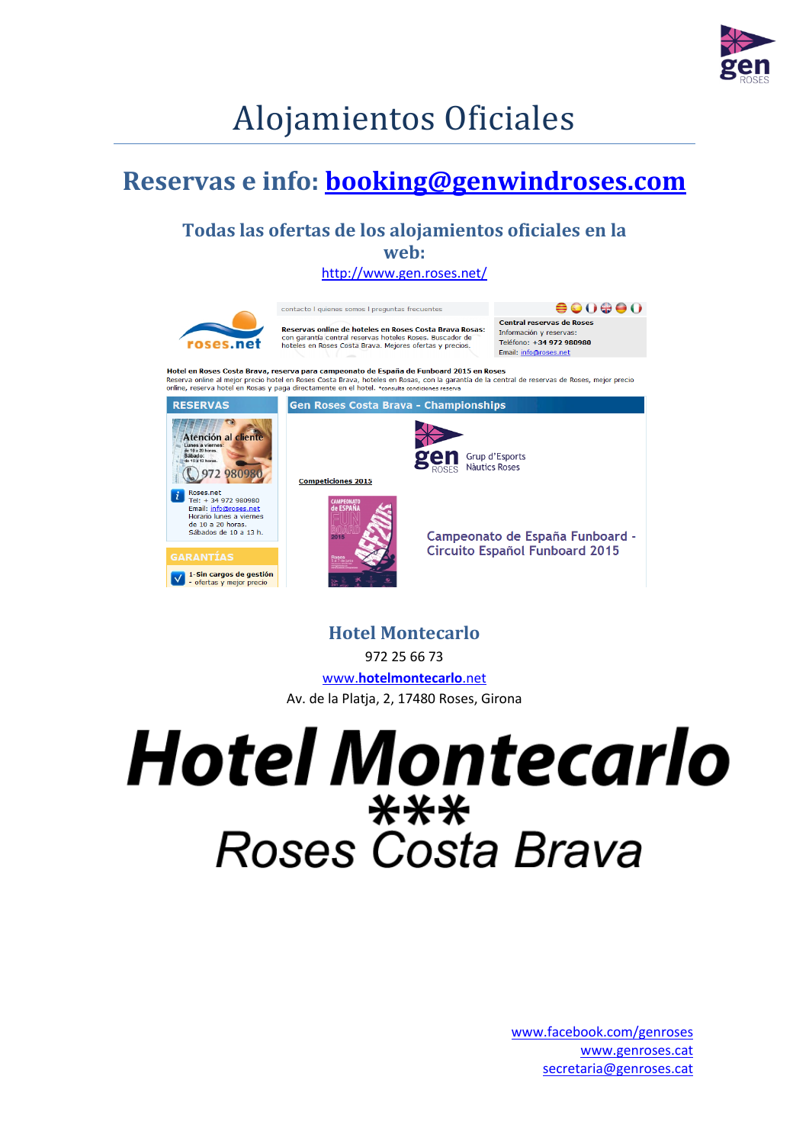

### Alojamientos Oficiales

#### **Reservas e info: [booking@genwindroses.com](mailto:booking@genwindroses.com)**

#### **Todas las ofertas de los alojamientos oficiales en la web:**

<http://www.gen.roses.net/>



**Hotel Montecarlo**

972 25 66 73

www.**[hotelmontecarlo](http://www.hotelmontecarlo.net/)**.net Av. de la Platja, 2, 17480 Roses, Girona

## **Hotel Montecarlo** \*\*\* **Roses Costa Brava**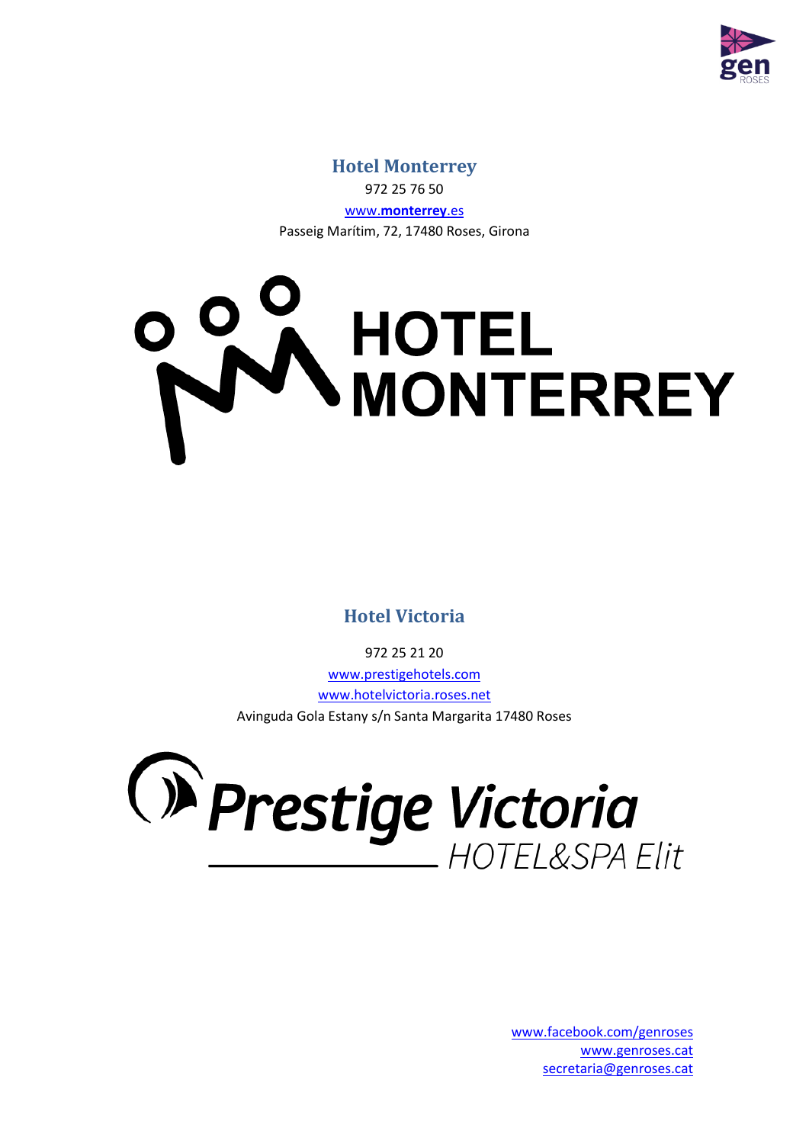

#### **Hotel Monterrey** 972 25 76 50 www.**[monterrey](http://www.monterrey.es/)**.es Passeig Marítim, 72, 17480 Roses, Girona

# DOW **HOTEL HOIEL<br>MONTERREY**

**Hotel Victoria**

972 25 21 20 www.prestigehotels.com [www.hotelvictoria.roses.net](http://www.hotelvictoria.roses.net/) Avinguda Gola Estany s/n Santa Margarita 17480 Roses

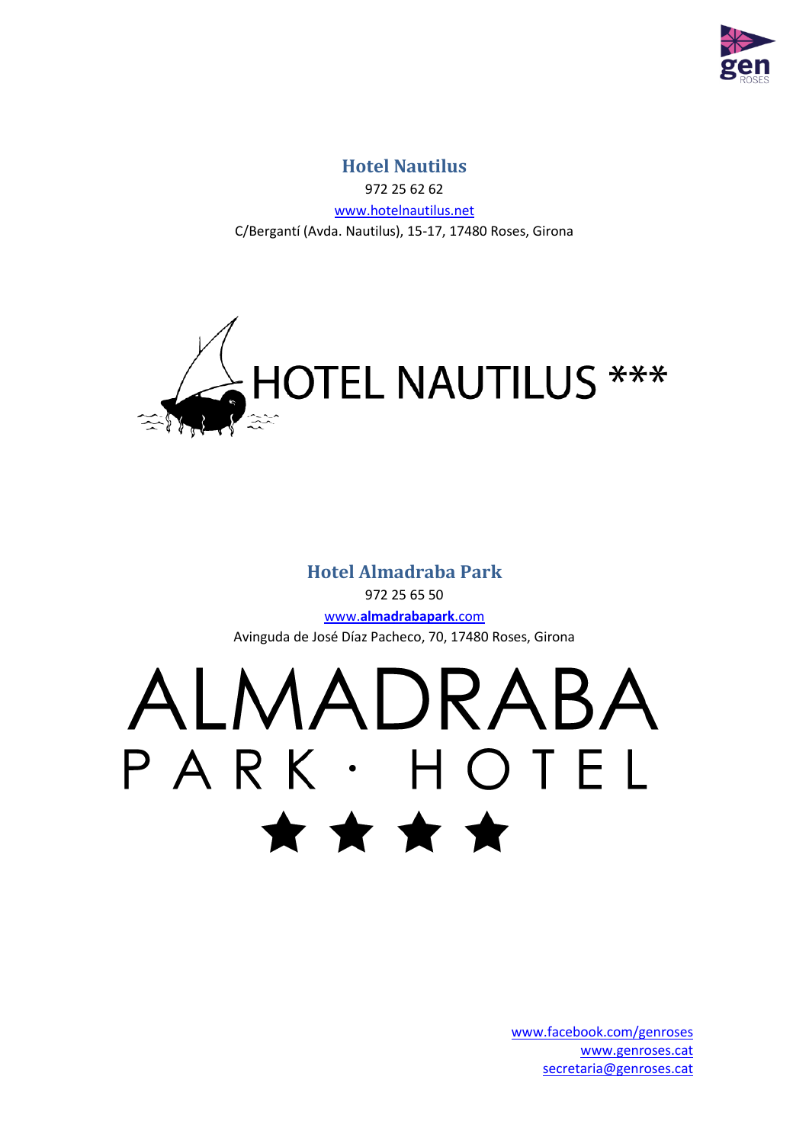

#### **Hotel Nautilus**

972 25 62 62 [www.hotelnautilus.net](http://www.hotelnautilus.net/) C/Bergantí (Avda. Nautilus), 15-17, 17480 Roses, Girona



#### **Hotel Almadraba Park**

972 25 65 50 www.**[almadrabapark](http://www.almadrabapark.com/)**.com Avinguda de José Díaz Pacheco, 70, 17480 Roses, Girona

# ALMADRABA PARK · HOTEL \* \* \* \*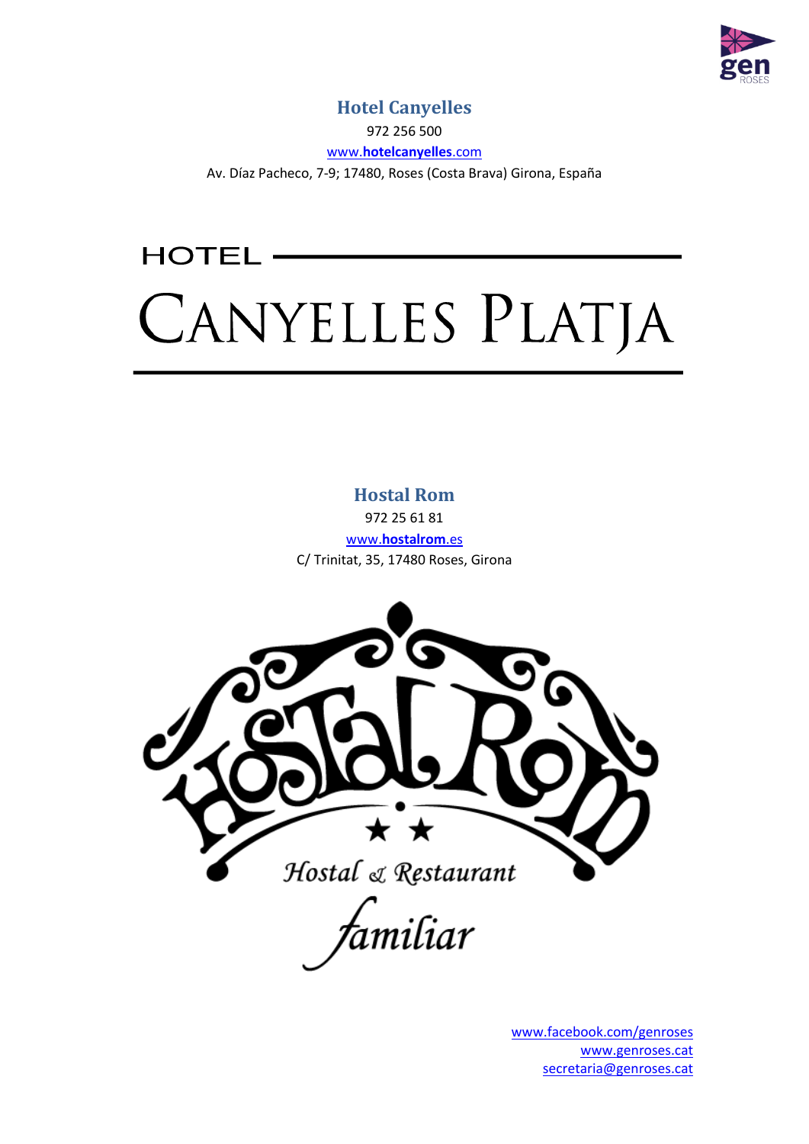

#### **Hotel Canyelles**

972 256 500

www.**[hotelcanyelles](http://www.hotelcanyelles.com/)**.com

Av. Díaz Pacheco, 7-9; 17480, Roses (Costa Brava) Girona, España

## **HOTEL** CANYELLES PLATJA

**Hostal Rom**

972 25 61 81 www.**[hostalrom](http://www.hostalrom.es/)**.es C/ Trinitat, 35, 17480 Roses, Girona



,<br>amiliar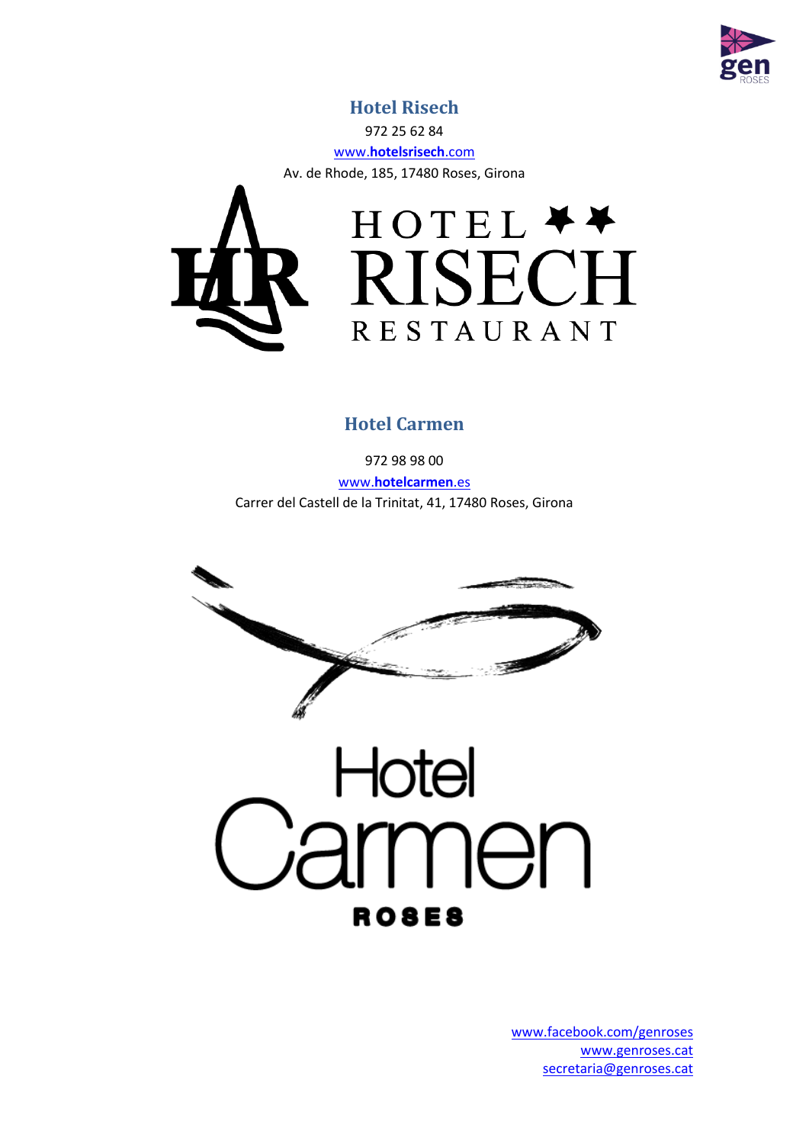

#### **Hotel Risech**

972 25 62 84

www.**[hotelsrisech](http://www.hotelsrisech.com/)**.com

Av. de Rhode, 185, 17480 Roses, Girona



#### **Hotel Carmen**

972 98 98 00 www.**[hotelcarmen](http://www.hotelcarmen.es/)**.es Carrer del Castell de la Trinitat, 41, 17480 Roses, Girona



**ROSES**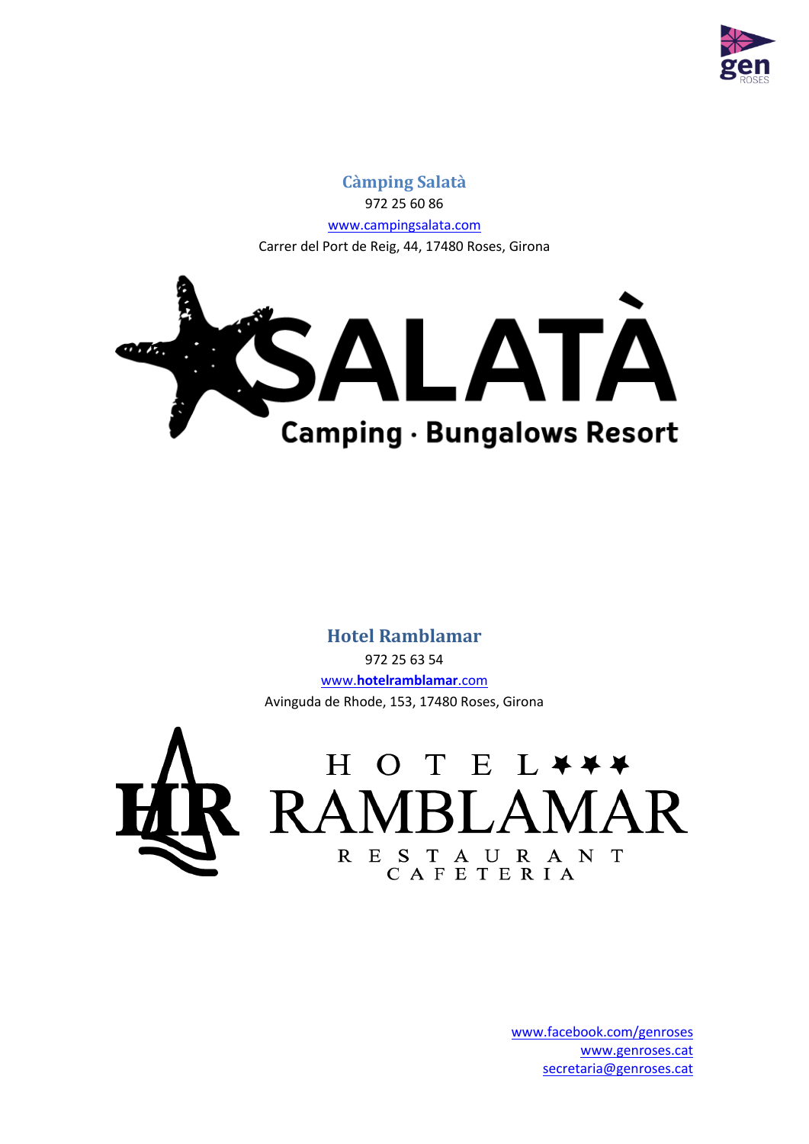

#### **Càmping Salatà** 972 25 60 86 [www.campingsalata.com](http://www.campingsalata.com/) Carrer del Port de Reig, 44, 17480 Roses, Girona



#### **Hotel Ramblamar**

972 25 63 54 www.**[hotelramblamar](http://www.hotelramblamar.com/)**.com Avinguda de Rhode, 153, 17480 Roses, Girona